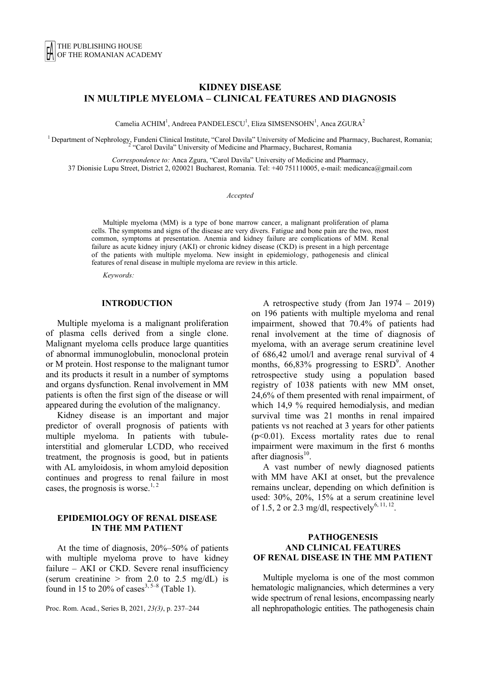# **KIDNEY DISEASE IN MULTIPLE MYELOMA – CLINICAL FEATURES AND DIAGNOSIS**

Camelia ACHIM<sup>1</sup>, Andreea PANDELESCU<sup>1</sup>, Eliza SIMSENSOHN<sup>1</sup>, Anca ZGURA<sup>2</sup>

<sup>1</sup> Department of Nephrology, Fundeni Clinical Institute, "Carol Davila" University of Medicine and Pharmacy, Bucharest, Romania; <sup>2</sup> "Carol Davila" University of Medicine and Pharmacy, Bucharest, Romania

*Correspondence to:* Anca Zgura, "Carol Davila" University of Medicine and Pharmacy, 37 Dionisie Lupu Street, District 2, 020021 Bucharest, Romania. Tel: +40 751110005, e-mail: medicanca@gmail.com

#### *Accepted*

Multiple myeloma (MM) is a type of bone marrow cancer, a malignant proliferation of plama cells. The symptoms and signs of the disease are very divers. Fatigue and bone pain are the two, most common, symptoms at presentation. Anemia and kidney failure are complications of MM. Renal failure as acute kidney injury (AKI) or chronic kidney disease (CKD) is present in a high percentage of the patients with multiple myeloma. New insight in epidemiology, pathogenesis and clinical features of renal disease in multiple myeloma are review in this article.

*Keywords:*

### **INTRODUCTION**

Multiple myeloma is a malignant proliferation of plasma cells derived from a single clone. Malignant myeloma cells produce large quantities of abnormal immunoglobulin, monoclonal protein or M protein. Host response to the malignant tumor and its products it result in a number of symptoms and organs dysfunction. Renal involvement in MM patients is often the first sign of the disease or will appeared during the evolution of the malignancy.

Kidney disease is an important and major predictor of overall prognosis of patients with multiple myeloma. In patients with tubuleinterstitial and glomerular LCDD, who received treatment, the prognosis is good, but in patients with AL amyloidosis, in whom amyloid deposition continues and progress to renal failure in most cases, the prognosis is worse.<sup>1, 2</sup>

### **EPIDEMIOLOGY OF RENAL DISEASE IN THE MM PATIENT**

At the time of diagnosis, 20%–50% of patients with multiple myeloma prove to have kidney failure – AKI or CKD. Severe renal insufficiency (serum creatinine  $>$  from 2.0 to 2.5 mg/dL) is found in 15 to 20% of cases<sup>3, 5–8</sup> (Table 1).

Proc. Rom. Acad., Series B, 2021, *23(3)*, p. 237–244

A retrospective study (from Jan 1974 – 2019) on 196 patients with multiple myeloma and renal impairment, showed that 70.4% of patients had renal involvement at the time of diagnosis of myeloma, with an average serum creatinine level of 686,42 umol/l and average renal survival of 4 months,  $66,83\%$  progressing to  $ESRD<sup>9</sup>$ . Another retrospective study using a population based registry of 1038 patients with new MM onset, 24,6% of them presented with renal impairment, of which 14.9 % required hemodialysis, and median survival time was 21 months in renal impaired patients vs not reached at 3 years for other patients (p<0.01). Excess mortality rates due to renal impairment were maximum in the first 6 months after diagnosis $10$ .

A vast number of newly diagnosed patients with MM have AKI at onset, but the prevalence remains unclear, depending on which definition is used: 30%, 20%, 15% at a serum creatinine level of 1.5, 2 or 2.3 mg/dl, respectively<sup>6, 11, 12</sup>.

### **PATHOGENESIS AND CLINICAL FEATURES OF RENAL DISEASE IN THE MM PATIENT**

Multiple myeloma is one of the most common hematologic malignancies, which determines a very wide spectrum of renal lesions, encompassing nearly all nephropathologic entities. The pathogenesis chain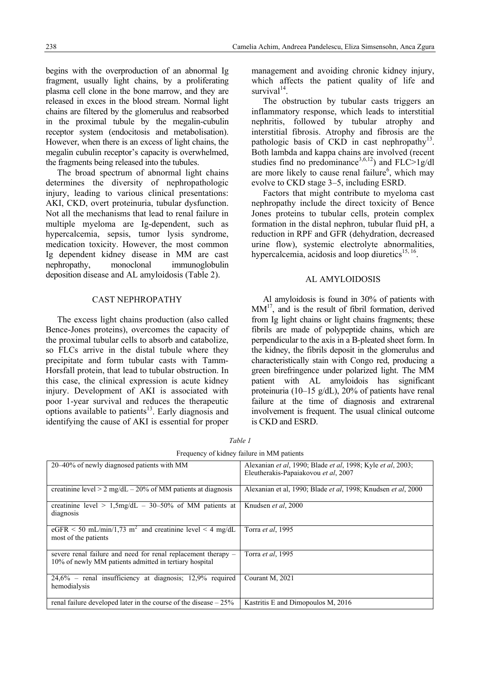begins with the overproduction of an abnormal Ig fragment, usually light chains, by a proliferating plasma cell clone in the bone marrow, and they are released in exces in the blood stream. Normal light chains are filtered by the glomerulus and reabsorbed in the proximal tubule by the megalin-cubulin receptor system (endocitosis and metabolisation). However, when there is an excess of light chains, the megalin cubulin receptor's capacity is overwhelmed, the fragments being released into the tubules.

The broad spectrum of abnormal light chains determines the diversity of nephropathologic injury, leading to various clinical presentations: AKI, CKD, overt proteinuria, tubular dysfunction. Not all the mechanisms that lead to renal failure in multiple myeloma are Ig-dependent, such as hypercalcemia, sepsis, tumor lysis syndrome, medication toxicity. However, the most common Ig dependent kidney disease in MM are cast nephropathy, monoclonal immunoglobulin deposition disease and AL amyloidosis (Table 2).

### CAST NEPHROPATHY

The excess light chains production (also called Bence-Jones proteins), overcomes the capacity of the proximal tubular cells to absorb and catabolize, so FLCs arrive in the distal tubule where they precipitate and form tubular casts with Tamm-Horsfall protein, that lead to tubular obstruction. In this case, the clinical expression is acute kidney injury. Development of AKI is associated with poor 1-year survival and reduces the therapeutic options available to patients<sup>13</sup>. Early diagnosis and identifying the cause of AKI is essential for proper management and avoiding chronic kidney injury, which affects the patient quality of life and survival $14$ .

The obstruction by tubular casts triggers an inflammatory response, which leads to interstitial nephritis, followed by tubular atrophy and interstitial fibrosis. Atrophy and fibrosis are the pathologic basis of CKD in cast nephropathy<sup>13</sup>. Both lambda and kappa chains are involved (recent studies find no predominance<sup>3,6,12</sup>) and FLC>1g/dl are more likely to cause renal failure $<sup>6</sup>$ , which may</sup> evolve to CKD stage 3–5, including ESRD.

Factors that might contribute to myeloma cast nephropathy include the direct toxicity of Bence Jones proteins to tubular cells, protein complex formation in the distal nephron, tubular fluid pH, a reduction in RPF and GFR (dehydration, decreased urine flow), systemic electrolyte abnormalities, hypercalcemia, acidosis and loop diuretics $15, 16$ .

## AL AMYLOIDOSIS

Al amyloidosis is found in 30% of patients with  $MM<sup>17</sup>$ , and is the result of fibril formation, derived from Ig light chains or light chains fragments; these fibrils are made of polypeptide chains, which are perpendicular to the axis in a B-pleated sheet form. In the kidney, the fibrils deposit in the glomerulus and characteristically stain with Congo red, producing a green birefringence under polarized light. The MM patient with AL amyloidois has significant proteinuria (10–15 g/dL), 20% of patients have renal failure at the time of diagnosis and extrarenal involvement is frequent. The usual clinical outcome is CKD and ESRD.

| requency of kidney familie in why patients                                                                              |                                                                                                                             |  |
|-------------------------------------------------------------------------------------------------------------------------|-----------------------------------------------------------------------------------------------------------------------------|--|
| 20–40% of newly diagnosed patients with MM                                                                              | Alexanian <i>et al</i> , 1990; Blade <i>et al</i> , 1998; Kyle <i>et al</i> , 2003;<br>Eleutherakis-Papaiakovou et al, 2007 |  |
| creatinine level $> 2$ mg/dL $- 20\%$ of MM patients at diagnosis                                                       | Alexanian et al. 1990; Blade <i>et al.</i> 1998; Knudsen <i>et al.</i> 2000                                                 |  |
| creatinine level > $1,5mg/dL - 30-50\%$ of MM patients at<br>diagnosis                                                  | Knudsen et al, 2000                                                                                                         |  |
| eGFR < 50 mL/min/1,73 m <sup>2</sup> and creatinine level $\leq$ 4 mg/dL<br>most of the patients                        | Torra et al, 1995                                                                                                           |  |
| severe renal failure and need for renal replacement therapy –<br>10% of newly MM patients admitted in tertiary hospital | Torra et al, 1995                                                                                                           |  |
| $24,6\%$ – renal insufficiency at diagnosis; 12,9% required<br>hemodialysis                                             | Courant M, 2021                                                                                                             |  |
| renal failure developed later in the course of the disease $-25\%$                                                      | Kastritis E and Dimopoulos M, 2016                                                                                          |  |

*Table 1*  Frequency of kidney failure in MM patients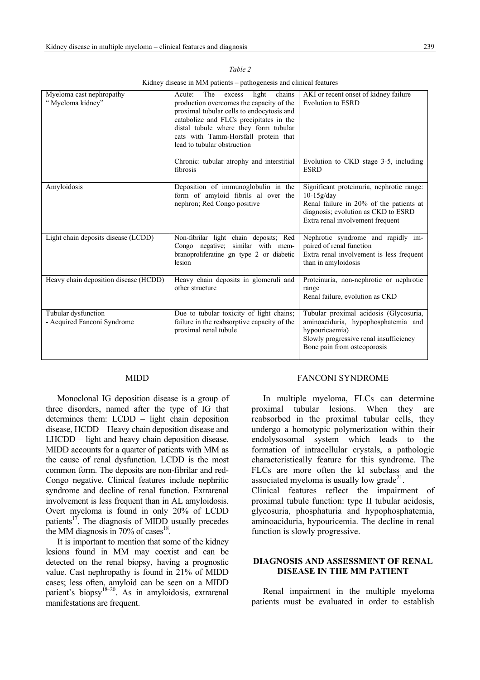| Myeloma cast nephropathy<br>"Myeloma kidney"       | The<br>chains<br>light<br>Acute:<br>excess<br>production overcomes the capacity of the<br>proximal tubular cells to endocytosis and<br>catabolize and FLCs precipitates in the<br>distal tubule where they form tubular<br>cats with Tamm-Horsfall protein that<br>lead to tubular obstruction | AKI or recent onset of kidney failure<br><b>Evolution to ESRD</b>                                                                                                               |
|----------------------------------------------------|------------------------------------------------------------------------------------------------------------------------------------------------------------------------------------------------------------------------------------------------------------------------------------------------|---------------------------------------------------------------------------------------------------------------------------------------------------------------------------------|
|                                                    | Chronic: tubular atrophy and interstitial<br>fibrosis                                                                                                                                                                                                                                          | Evolution to CKD stage 3-5, including<br><b>ESRD</b>                                                                                                                            |
| Amyloidosis                                        | Deposition of immunoglobulin in the<br>form of amyloid fibrils al over the<br>nephron; Red Congo positive                                                                                                                                                                                      | Significant proteinuria, nephrotic range:<br>$10-15g/day$<br>Renal failure in 20% of the patients at<br>diagnosis; evolution as CKD to ESRD<br>Extra renal involvement frequent |
| Light chain deposits disease (LCDD)                | Non-fibrilar light chain deposits; Red<br>Congo negative; similar with mem-<br>branoproliferatine gn type 2 or diabetic<br>lesion                                                                                                                                                              | Nephrotic syndrome and rapidly im-<br>paired of renal function<br>Extra renal involvement is less frequent<br>than in amyloidosis                                               |
| Heavy chain deposition disease (HCDD)              | Heavy chain deposits in glomeruli and<br>other structure                                                                                                                                                                                                                                       | Proteinuria, non-nephrotic or nephrotic<br>range<br>Renal failure, evolution as CKD                                                                                             |
| Tubular dysfunction<br>- Acquired Fanconi Syndrome | Due to tubular toxicity of light chains;<br>failure in the reabsorptive capacity of the<br>proximal renal tubule                                                                                                                                                                               | Tubular proximal acidosis (Glycosuria,<br>aminoaciduria, hypophosphatemia and<br>hypouricaemia)<br>Slowly progressive renal insufficiency<br>Bone pain from osteoporosis        |

*Table 2*  Kidney disease in MM patients – pathogenesis and clinical features

#### MIDD

Monoclonal IG deposition disease is a group of three disorders, named after the type of IG that determines them: LCDD – light chain deposition disease, HCDD – Heavy chain deposition disease and LHCDD – light and heavy chain deposition disease. MIDD accounts for a quarter of patients with MM as the cause of renal dysfunction. LCDD is the most common form. The deposits are non-fibrilar and red-Congo negative. Clinical features include nephritic syndrome and decline of renal function. Extrarenal involvement is less frequent than in AL amyloidosis. Overt myeloma is found in only 20% of LCDD patients $17$ . The diagnosis of MIDD usually precedes the MM diagnosis in 70% of cases $^{18}$ .

It is important to mention that some of the kidney lesions found in MM may coexist and can be detected on the renal biopsy, having a prognostic value. Cast nephropathy is found in 21% of MIDD cases; less often, amyloid can be seen on a MIDD patient's biopsy<sup>18–20</sup>. As in amyloidosis, extrarenal manifestations are frequent.

#### FANCONI SYNDROME

In multiple myeloma, FLCs can determine proximal tubular lesions. When they are reabsorbed in the proximal tubular cells, they undergo a homotypic polymerization within their endolysosomal system which leads to the formation of intracellular crystals, a pathologic characteristically feature for this syndrome. The FLCs are more often the kI subclass and the associated myeloma is usually low grade<sup>21</sup>. Clinical features reflect the impairment of proximal tubule function: type II tubular acidosis, glycosuria, phosphaturia and hypophosphatemia, aminoaciduria, hypouricemia. The decline in renal function is slowly progressive.

## **DIAGNOSIS AND ASSESSMENT OF RENAL DISEASE IN THE MM PATIENT**

Renal impairment in the multiple myeloma patients must be evaluated in order to establish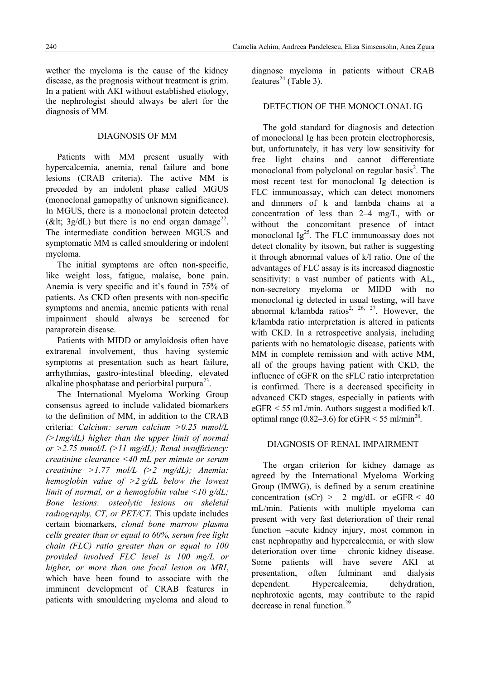disease, as the prognosis without treatment is grim. In a patient with AKI without established etiology, the nephrologist should always be alert for the diagnosis of MM.

## DIAGNOSIS OF MM

Patients with MM present usually with hypercalcemia, anemia, renal failure and bone lesions (CRAB criteria). The active MM is preceded by an indolent phase called MGUS (monoclonal gamopathy of unknown significance). In MGUS, there is a monoclonal protein detected (&It;  $3g/dL$ ) but there is no end organ damage<sup>22</sup>. The intermediate condition between MGUS and symptomatic MM is called smouldering or indolent myeloma.

The initial symptoms are often non-specific, like weight loss, fatigue, malaise, bone pain. Anemia is very specific and it's found in 75% of patients. As CKD often presents with non-specific symptoms and anemia, anemic patients with renal impairment should always be screened for paraprotein disease.

Patients with MIDD or amyloidosis often have extrarenal involvement, thus having systemic symptoms at presentation such as heart failure, arrhythmias, gastro-intestinal bleeding, elevated alkaline phosphatase and periorbital purpura $^{23}$ .

The International Myeloma Working Group consensus agreed to include validated biomarkers to the definition of MM, in addition to the CRAB criteria: *Calcium: serum calcium >0.25 mmol/L (>1mg/dL) higher than the upper limit of normal or >2.75 mmol/L (>11 mg/dL); Renal insufficiency: creatinine clearance <40 mL per minute or serum creatinine >1.77 mol/L (>2 mg/dL); Anemia: hemoglobin value of >2 g/dL below the lowest limit of normal, or a hemoglobin value <10 g/dL; Bone lesions: osteolytic lesions on skeletal radiography, CT, or PET/CT.* This update includes certain biomarkers, *clonal bone marrow plasma cells greater than or equal to 60%, serum free light chain (FLC) ratio greater than or equal to 100 provided involved FLC level is 100 mg/L or higher, or more than one focal lesion on MRI*, which have been found to associate with the imminent development of CRAB features in patients with smouldering myeloma and aloud to

diagnose myeloma in patients without CRAB features<sup>24</sup> (Table 3).

## DETECTION OF THE MONOCLONAL IG

The gold standard for diagnosis and detection of monoclonal Ig has been protein electrophoresis, but, unfortunately, it has very low sensitivity for free light chains and cannot differentiate monoclonal from polyclonal on regular basis<sup>2</sup>. The most recent test for monoclonal Ig detection is FLC immunoassay, which can detect monomers and dimmers of k and lambda chains at a concentration of less than 2–4 mg/L, with or without the concomitant presence of intact monoclonal  $Ig^{25}$ . The FLC immunoassay does not detect clonality by itsown, but rather is suggesting it through abnormal values of k/l ratio. One of the advantages of FLC assay is its increased diagnostic sensitivity: a vast number of patients with AL, non-secretory myeloma or MIDD with no monoclonal ig detected in usual testing, will have abnormal k/lambda ratios<sup>2, 26, 27</sup>. However, the k/lambda ratio interpretation is altered in patients with CKD. In a retrospective analysis, including patients with no hematologic disease, patients with MM in complete remission and with active MM, all of the groups having patient with CKD, the influence of eGFR on the sFLC ratio interpretation is confirmed. There is a decreased specificity in advanced CKD stages, especially in patients with eGFR < 55 mL/min. Authors suggest a modified k/L optimal range (0.82–3.6) for eGFR  $\leq$  55 ml/min<sup>28</sup>.

## DIAGNOSIS OF RENAL IMPAIRMENT

The organ criterion for kidney damage as agreed by the International Myeloma Working Group (IMWG), is defined by a serum creatinine concentration (sCr) > 2 mg/dL or eGFR < 40 mL/min. Patients with multiple myeloma can present with very fast deterioration of their renal function –acute kidney injury, most common in cast nephropathy and hypercalcemia, or with slow deterioration over time – chronic kidney disease. Some patients will have severe AKI at presentation, often fulminant and dialysis dependent. Hypercalcemia, dehydration, nephrotoxic agents, may contribute to the rapid decrease in renal function.<sup>29</sup>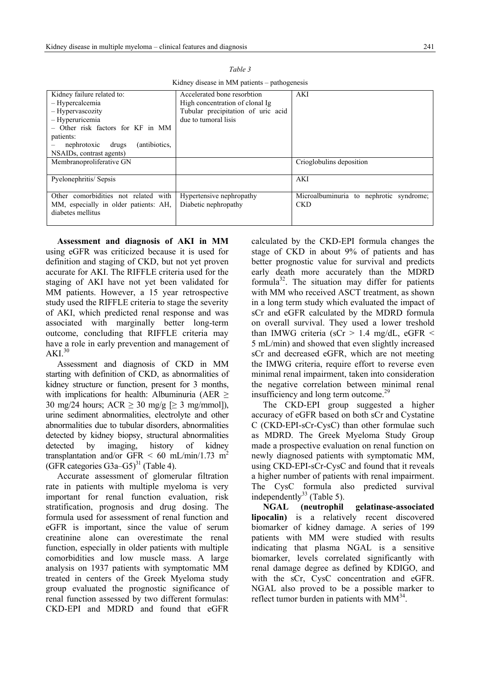| Kidney failure related to:            | Accelerated bone resorbtion        | AKI                                     |
|---------------------------------------|------------------------------------|-----------------------------------------|
| - Hypercalcemia                       | High concentration of clonal Ig.   |                                         |
| - Hypervascozity                      | Tubular precipitation of uric acid |                                         |
| - Hyperuricemia                       | due to tumoral lisis               |                                         |
| - Other risk factors for KF in MM     |                                    |                                         |
| patients:                             |                                    |                                         |
| (antibiotics,<br>nephrotoxic drugs    |                                    |                                         |
| NSAID <sub>s</sub> , contrast agents) |                                    |                                         |
| Membranoproliferative GN              |                                    | Crioglobuling deposition                |
|                                       |                                    |                                         |
| Pyelonephritis/Sepsis                 |                                    | AKI                                     |
|                                       |                                    |                                         |
| Other comorbidities not related with  | Hypertensive nephropathy           | Microalbuminuria to nephrotic syndrome; |
| MM, especially in older patients: AH, | Diabetic nephropathy               | <b>CKD</b>                              |
| diabetes mellitus                     |                                    |                                         |
|                                       |                                    |                                         |

*Table 3* 

Kidney disease in MM patients – pathogenesis

**Assessment and diagnosis of AKI in MM** using eGFR was criticized because it is used for definition and staging of CKD, but not yet proven accurate for AKI. The RIFFLE criteria used for the staging of AKI have not yet been validated for MM patients. However, a 15 year retrospective study used the RIFFLE criteria to stage the severity of AKI, which predicted renal response and was associated with marginally better long-term outcome, concluding that RIFFLE criteria may have a role in early prevention and management of  $AKI<sup>30</sup>$ 

Assessment and diagnosis of CKD in MM starting with definition of CKD, as abnormalities of kidney structure or function, present for 3 months, with implications for health: Albuminuria (AER > 30 mg/24 hours;  $ACR \ge 30$  mg/g  $\ge 3$  mg/mmol]), urine sediment abnormalities, electrolyte and other abnormalities due to tubular disorders, abnormalities detected by kidney biopsy, structural abnormalities detected by imaging, history of kidney transplantation and/or GFR  $\leq 60$  mL/min/1.73 m<sup>2</sup> (GFR categories  $G3a-G5$ <sup>31</sup> (Table 4).

Accurate assessment of glomerular filtration rate in patients with multiple myeloma is very important for renal function evaluation, risk stratification, prognosis and drug dosing. The formula used for assessment of renal function and eGFR is important, since the value of serum creatinine alone can overestimate the renal function, especially in older patients with multiple comorbidities and low muscle mass. A large analysis on 1937 patients with symptomatic MM treated in centers of the Greek Myeloma study group evaluated the prognostic significance of renal function assessed by two different formulas: CKD-EPI and MDRD and found that eGFR

calculated by the CKD-EPI formula changes the stage of CKD in about 9% of patients and has better prognostic value for survival and predicts early death more accurately than the MDRD formula<sup>32</sup>. The situation may differ for patients with MM who received ASCT treatment, as shown in a long term study which evaluated the impact of sCr and eGFR calculated by the MDRD formula on overall survival. They used a lower treshold than IMWG criteria ( $sCr > 1.4$  mg/dL, eGFR < 5 mL/min) and showed that even slightly increased sCr and decreased eGFR, which are not meeting the IMWG criteria, require effort to reverse even minimal renal impairment, taken into consideration the negative correlation between minimal renal insufficiency and long term outcome.<sup>29</sup>

The CKD-EPI group suggested a higher accuracy of eGFR based on both sCr and Cystatine C (CKD-EPI-sCr-CysC) than other formulae such as MDRD. The Greek Myeloma Study Group made a prospective evaluation on renal function on newly diagnosed patients with symptomatic MM, using CKD-EPI-sCr-CysC and found that it reveals a higher number of patients with renal impairment. The CysC formula also predicted survival independently<sup>33</sup> (Table 5).

**NGAL (neutrophil gelatinase-associated lipocalin)** is a relatively recent discovered biomarker of kidney damage. A series of 199 patients with MM were studied with results indicating that plasma NGAL is a sensitive biomarker, levels correlated significantly with renal damage degree as defined by KDIGO, and with the sCr, CysC concentration and eGFR. NGAL also proved to be a possible marker to reflect tumor burden in patients with  $MM^{34}$ .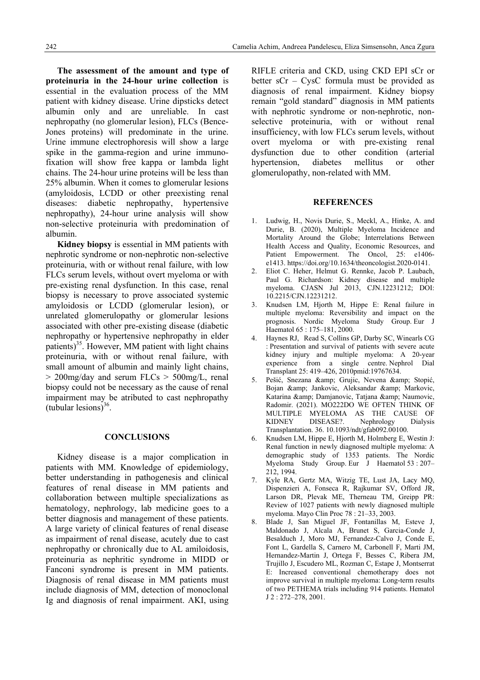**The assessment of the amount and type of proteinuria in the 24-hour urine collection** is essential in the evaluation process of the MM patient with kidney disease. Urine dipsticks detect albumin only and are unreliable. In cast nephropathy (no glomerular lesion), FLCs (Bence-Jones proteins) will predominate in the urine. Urine immune electrophoresis will show a large spike in the gamma-region and urine immunofixation will show free kappa or lambda light chains. The 24-hour urine proteins will be less than 25% albumin. When it comes to glomerular lesions (amyloidosis, LCDD or other preexisting renal diseases: diabetic nephropathy, hypertensive nephropathy), 24-hour urine analysis will show non-selective proteinuria with predomination of albumin.

**Kidney biopsy** is essential in MM patients with nephrotic syndrome or non-nephrotic non-selective proteinuria, with or without renal failure, with low FLCs serum levels, without overt myeloma or with pre-existing renal dysfunction. In this case, renal biopsy is necessary to prove associated systemic amyloidosis or LCDD (glomerular lesion), or unrelated glomerulopathy or glomerular lesions associated with other pre-existing disease (diabetic nephropathy or hypertensive nephropathy in elder patients) $^{35}$ . However, MM patient with light chains proteinuria, with or without renal failure, with small amount of albumin and mainly light chains,  $> 200$ mg/day and serum FLCs  $> 500$ mg/L, renal biopsy could not be necessary as the cause of renal impairment may be atributed to cast nephropathy (tubular lesions) $36$ .

#### **CONCLUSIONS**

Kidney disease is a major complication in patients with MM. Knowledge of epidemiology, better understanding in pathogenesis and clinical features of renal disease in MM patients and collaboration between multiple specializations as hematology, nephrology, lab medicine goes to a better diagnosis and management of these patients. A large variety of clinical features of renal disease as impairment of renal disease, acutely due to cast nephropathy or chronically due to AL amiloidosis, proteinuria as nephritic syndrome in MIDD or Fanconi syndrome is present in MM patients. Diagnosis of renal disease in MM patients must include diagnosis of MM, detection of monoclonal Ig and diagnosis of renal impairment. AKI, using RIFLE criteria and CKD, using CKD EPI sCr or better sCr – CysC formula must be provided as diagnosis of renal impairment. Kidney biopsy remain "gold standard" diagnosis in MM patients with nephrotic syndrome or non-nephrotic, nonselective proteinuria, with or without renal insufficiency, with low FLCs serum levels, without overt myeloma or with pre-existing renal dysfunction due to other condition (arterial hypertension, diabetes mellitus or other glomerulopathy, non-related with MM.

### **REFERENCES**

- 1. Ludwig, H., Novis Durie, S., Meckl, A., Hinke, A. and Durie, B. (2020), Multiple Myeloma Incidence and Mortality Around the Globe; Interrelations Between Health Access and Quality, Economic Resources, and Patient Empowerment. The Oncol, 25: e1406e1413. https://doi.org/10.1634/theoncologist.2020-0141.
- 2. Eliot C. Heher, Helmut G. Rennke, Jacob P. Laubach, Paul G. Richardson: Kidney disease and multiple myeloma. CJASN Jul 2013, CJN.12231212; DOI: 10.2215/CJN.12231212.
- 3. Knudsen LM, Hjorth M, Hippe E: Renal failure in multiple myeloma: Reversibility and impact on the prognosis. Nordic Myeloma Study Group. Eur J Haematol 65 : 175–181, 2000.
- 4. Haynes RJ, Read S, Collins GP, Darby SC, Winearls CG : Presentation and survival of patients with severe acute kidney injury and multiple myeloma: A 20-year experience from a single centre. Nephrol Dial Transplant 25: 419–426, 2010pmid:19767634.
- 5. Pešić, Snezana & amp; Grujic, Nevena & amp; Stopić, Bojan & amp; Jankovic, Aleksandar & amp; Markovic, Katarina & amp; Damjanovic, Tatjana & amp; Naumovic, Radomir. (2021). MO222DO WE OFTEN THINK OF MULTIPLE MYELOMA AS THE CAUSE OF KIDNEY DISEASE?. Nephrology Dialysis Transplantation. 36. 10.1093/ndt/gfab092.00100.
- 6. Knudsen LM, Hippe E, Hjorth M, Holmberg E, Westin J: Renal function in newly diagnosed multiple myeloma: A demographic study of 1353 patients. The Nordic Myeloma Study Group. Eur J Haematol 53 : 207– 212, 1994.
- 7. Kyle RA, Gertz MA, Witzig TE, Lust JA, Lacy MQ, Dispenzieri A, Fonseca R, Rajkumar SV, Offord JR, Larson DR, Plevak ME, Therneau TM, Greipp PR: Review of 1027 patients with newly diagnosed multiple myeloma. Mayo Clin Proc 78 : 21–33, 2003.
- 8. Blade J, San Miguel JF, Fontanillas M, Esteve J, Maldonado J, Alcala A, Brunet S, Garcia-Conde J, Besalduch J, Moro MJ, Fernandez-Calvo J, Conde E, Font L, Gardella S, Carnero M, Carbonell F, Marti JM, Hernandez-Martin J, Ortega F, Besses C, Ribera JM, Trujillo J, Escudero ML, Rozman C, Estape J, Montserrat E: Increased conventional chemotherapy does not improve survival in multiple myeloma: Long-term results of two PETHEMA trials including 914 patients. Hematol J 2 : 272–278, 2001.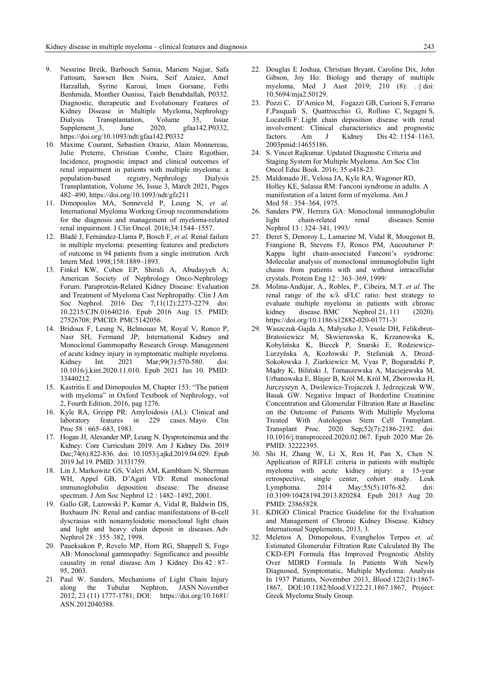- 9. Nessrine Breik, Barbouch Samia, Mariem Najjar, Safa Fattoum, Sawsen Ben Nsira, Seif Azaiez, Amel Harzallah, Syrine Karoui, Imen Gorsane, Fethi Benhmida, Monther Ounissi, Taieb Benabdallah, P0332. Diagnostic, therapeutic and Evolutionary Features of Kidney Disease in Multiple Myeloma, Nephrology Dialysis Transplantation, Volume 35, Issue Supplement\_3, June 2020, gfaa142.P0332, https://doi.org/10.1093/ndt/gfaa142.P0332
- 10. Maxime Courant, Sebastien Orazio, Alain Monnereau, Julie Preterre, Christian Combe, Claire Rigothier, Incidence, prognostic impact and clinical outcomes of renal impairment in patients with multiple myeloma: a population-based registry, Nephrology Dialysis Transplantation, Volume 36, Issue 3, March 2021, Pages 482–490, https://doi.org/10.1093/ndt/gfz211
- 11. Dimopoulos MA, Sonneveld P, Leung N, *et al.* International Myeloma Working Group recommendations for the diagnosis and management of myeloma-related renal impairment. J Clin Oncol. 2016;34:1544–1557.
- 12. Bladé J, Fernández-Llama P, Bosch F, *et al.* Renal failure in multiple myeloma: presenting features and predictors of outcome in 94 patients from a single institution. Arch Intern Med. 1998;158:1889–1893.
- 13. Finkel KW, Cohen EP, Shirali A, Abudayyeh A; American Society of Nephrology Onco-Nephrology Forum. Paraprotein-Related Kidney Disease: Evaluation and Treatment of Myeloma Cast Nephropathy. Clin J Am Soc Nephrol. 2016 Dec 7;11(12):2273-2279. doi: 10.2215/CJN.01640216. Epub 2016 Aug 15. PMID: 27526708; PMCID: PMC5142056.
- 14. Bridoux F, Leung N, Belmouaz M, Royal V, Ronco P, Nasr SH, Fermand JP; International Kidney and Monoclonal Gammopathy Research Group. Management of acute kidney injury in symptomatic multiple myeloma. Kidney Int. 2021 Mar;99(3):570-580. doi: 10.1016/j.kint.2020.11.010. Epub 2021 Jan 10. PMID: 33440212.
- 15. Kastritis E and Dimopoulos M, Chapter 153: "The patient with myeloma" in Oxford Textbook of Nephrology, vol 2, Fourth Edition, 2016, pag 1276.
- 16. Kyle RA, Greipp PR: Amyloidosis (AL): Clinical and laboratory features in 229 cases. Mayo Clin Proc 58 : 665–683, 1983.
- 17. Hogan JJ, Alexander MP, Leung N. Dysproteinemia and the Kidney: Core Curriculum 2019. Am J Kidney Dis. 2019 Dec;74(6):822-836. doi: 10.1053/j.ajkd.2019.04.029. Epub 2019 Jul 19. PMID: 31331759.
- 18. Lin J, Markowitz GS, Valeri AM, Kambham N, Sherman WH, Appel GB, D'Agati VD: Renal monoclonal immunoglobulin deposition disease: The disease spectrum. J Am Soc Nephrol 12 : 1482–1492, 2001.
- 19. Gallo GR, Lazowski P, Kumar A, Vidal R, Baldwin DS, Buxbaum JN: Renal and cardiac manifestations of B-cell dyscrasias with nonamyloidotic monoclonal light chain and light and heavy chain deposit in diseases. Adv Nephrol 28 : 355–382, 1998.
- 20. Paueksakon P, Revelo MP, Horn RG, Shappell S, Fogo AB: Monoclonal gammopathy: Significance and possible causality in renal disease. Am J Kidney Dis 42 : 87– 95, 2003.
- 21. Paul W. Sanders, Mechanisms of Light Chain Injury along the Tubular Nephron, JASN November 2012, 23 (11) 1777-1781; DOI: https://doi.org/10.1681/ ASN.2012040388.
- 22. Douglas E Joshua, Christian Bryant, Caroline Dix, John Gibson, Joy Ho: Biology and therapy of multiple myeloma, Med J Aust 2019; 210 (8): . || doi: 10.5694/mja2.50129.
- 23. Pozzi C, D'Amico M, Fogazzi GB, Curioni S, Ferrario F,Pasquali S, Quattrocchio G, Rollino C, Segagni S, Locatelli F: Light chain deposition disease with renal involvement: Clinical characteristics and prognostic factors. Am J Kidney Dis  $42: 1154-1163$ , 2003pmid:14655186.
- 24. S. Vincet Rajkumar. Updated Diagnostic Criteria and Staging System for Multiple Myeloma. Am Soc Clin Oncol Educ Book. 2016; 35:e418-23.
- 25. Maldonado JE, Velosa JA, Kyle RA, Wagoner RD, Holley KE, Salassa RM: Fanconi syndrome in adults. A manifestation of a latent form of myeloma. Am J Med 58 : 354–364, 1975.
- 26. Sanders PW, Herrera GA: Monoclonal immunoglobulin light chain-related renal diseases. Semin Nephrol 13 : 324–341, 1993/
- 27. Deret S, Denoroy L, Lamarine M, Vidal R, Mougenot B, Frangione B, Stevens FJ, Ronco PM, Aucouturier P: Kappa light chain-associated Fanconi's syndrome: Molecular analysis of monoclonal immunoglobulin light chains from patients with and without intracellular crystals. Protein Eng 12 : 363–369, 1999/
- 28. Molina-Andújar, A., Robles, P., Cibeira, M.T. *et al.* The renal range of the κ/λ sFLC ratio: best strategy to evaluate multiple myeloma in patients with chronic kidney disease. BMC Nephrol 21, 111 (2020). https://doi.org/10.1186/s12882-020-01771-3/
- 29. Waszczuk-Gajda A, Małyszko J, Vesole DH, Feliksbrot-Bratosiewicz M, Skwierawska K, Krzanowska K, Kobylińska K, Biecek P, Snarski E, Rodziewicz-Lurzyńska A, Kozłowski P, Stefaniak A, Drozd-Sokołowska J, Ziarkiewicz M, Vyas P, Boguradzki P, Mądry K, Biliński J, Tomaszewska A, Maciejewska M, Urbanowska E, Blajer B, Król M, Król M, Zborowska H, Jurczyszyn A, Dwilewicz-Trojaczek J, Jedrzejczak WW, Basak GW. Negative Impact of Borderline Creatinine Concentration and Glomerular Filtration Rate at Baseline on the Outcome of Patients With Multiple Myeloma Treated With Autologous Stem Cell Transplant. Transplant Proc. 2020 Sep;52(7):2186-2192. doi: 10.1016/j.transproceed.2020.02.067. Epub 2020 Mar 26. PMID: 32222395.
- 30. Shi H, Zhang W, Li X, Ren H, Pan X, Chen N. Application of RIFLE criteria in patients with multiple myeloma with acute kidney injury: a 15-year retrospective, single center, cohort study. Leuk Lymphoma. 2014 May;55(5):1076-82. doi: 10.3109/10428194.2013.820284. Epub 2013 Aug 20. PMID: 23865828.
- 31. KDIGO Clinical Practice Guideline for the Evaluation and Management of Chronic Kidney Disease. Kidney International Supplements, 2013, 3.
- 32. Meletios A. Dimopolous, Evanghelos Terpos *et. al,* Estimated Glomerular Filtration Rate Calculated By The CKD-EPI Formula Has Improved Prognostic Ability Over MDRD Formula In Patients With Newly Diagnosed, Symptomatic, Multiple Myeloma: Analysis In 1937 Patients, November 2013, Blood 122(21):1867- 1867, DOI:10.1182/blood.V122.21.1867.1867, Project: Greek Myeloma Study Group.